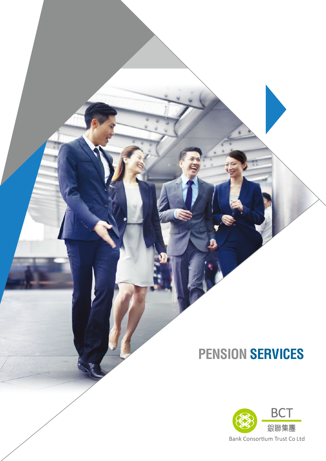### **PENSION SERVICES**

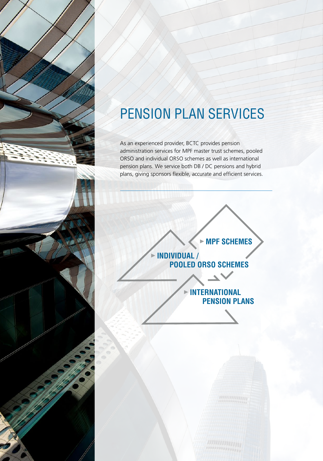

# PENSION PLAN SERVICES

As an experienced provider, BCTC provides pension administration services for MPF master trust schemes, pooled ORSO and individual ORSO schemes as well as international pension plans. We service both DB / DC pensions and hybrid plans, giving sponsors flexible, accurate and efficient services.

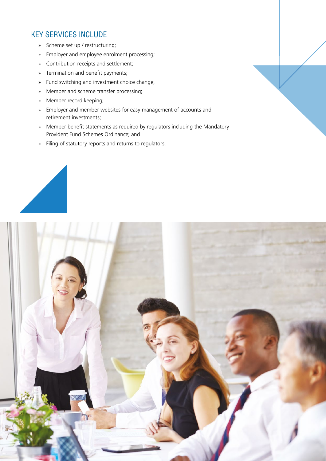#### KEY SERVICES INCLUDE

- » Scheme set up / restructuring;
- » Employer and employee enrolment processing;
- » Contribution receipts and settlement;
- » Termination and benefit payments;
- » Fund switching and investment choice change;
- » Member and scheme transfer processing;
- » Member record keeping;
- » Employer and member websites for easy management of accounts and retirement investments;
- » Member benefit statements as required by regulators including the Mandatory Provident Fund Schemes Ordinance; and
- » Filing of statutory reports and returns to regulators.



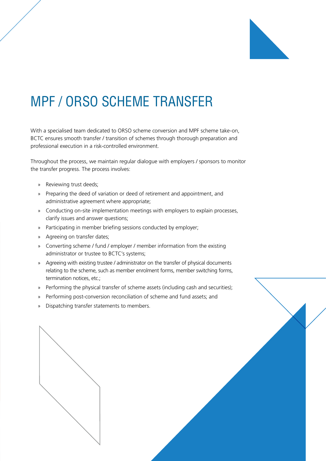

### MPF / ORSO SCHEME TRANSFER

With a specialised team dedicated to ORSO scheme conversion and MPF scheme take-on, BCTC ensures smooth transfer / transition of schemes through thorough preparation and professional execution in a risk-controlled environment.

Throughout the process, we maintain regular dialogue with employers / sponsors to monitor the transfer progress. The process involves:

- » Reviewing trust deeds;
- » Preparing the deed of variation or deed of retirement and appointment, and administrative agreement where appropriate;
- » Conducting on-site implementation meetings with employers to explain processes, clarify issues and answer questions;
- » Participating in member briefing sessions conducted by employer;
- » Agreeing on transfer dates;
- » Converting scheme / fund / employer / member information from the existing administrator or trustee to BCTC's systems;
- » Agreeing with existing trustee / administrator on the transfer of physical documents relating to the scheme, such as member enrolment forms, member switching forms, termination notices, etc.;
- » Performing the physical transfer of scheme assets (including cash and securities);
- » Performing post-conversion reconciliation of scheme and fund assets; and
- » Dispatching transfer statements to members.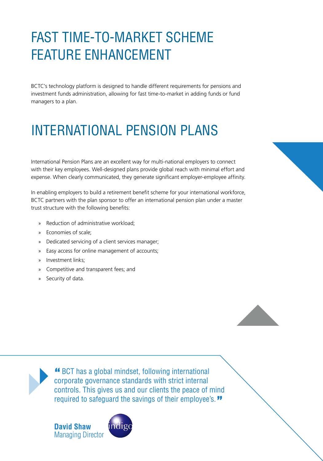# FAST TIME-TO-MARKET SCHEME FEATURE ENHANCEMENT

BCTC's technology platform is designed to handle different requirements for pensions and investment funds administration, allowing for fast time-to-market in adding funds or fund managers to a plan.

# INTERNATIONAL PENSION PLANS

International Pension Plans are an excellent way for multi-national employers to connect with their key employees. Well-designed plans provide global reach with minimal effort and expense. When clearly communicated, they generate significant employer-employee affinity.

In enabling employers to build a retirement benefit scheme for your international workforce, BCTC partners with the plan sponsor to offer an international pension plan under a master trust structure with the following benefits:

- » Reduction of administrative workload;
- » Economies of scale;
- » Dedicated servicing of a client services manager;
- » Easy access for online management of accounts;
- » Investment links;
- » Competitive and transparent fees; and
- » Security of data.



 BCT has a global mindset, following international corporate governance standards with strict internal controls. This gives us and our clients the peace of mind required to safeguard the savings of their employee's."

**David Shaw** Managing Director